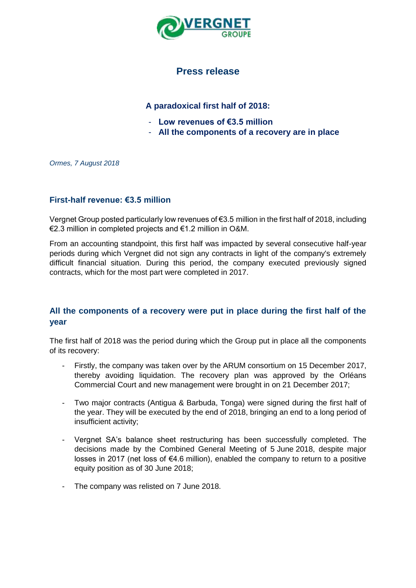

# **Press release**

## **A paradoxical first half of 2018:**

- **Low revenues of €3.5 million**
- **All the components of a recovery are in place**

*Ormes, 7 August 2018*

#### **First-half revenue: €3.5 million**

Vergnet Group posted particularly low revenues of €3.5 million in the first half of 2018, including €2.3 million in completed projects and €1.2 million in O&M.

From an accounting standpoint, this first half was impacted by several consecutive half-year periods during which Vergnet did not sign any contracts in light of the company's extremely difficult financial situation. During this period, the company executed previously signed contracts, which for the most part were completed in 2017.

### **All the components of a recovery were put in place during the first half of the year**

The first half of 2018 was the period during which the Group put in place all the components of its recovery:

- Firstly, the company was taken over by the ARUM consortium on 15 December 2017, thereby avoiding liquidation. The recovery plan was approved by the Orléans Commercial Court and new management were brought in on 21 December 2017;
- Two major contracts (Antigua & Barbuda, Tonga) were signed during the first half of the year. They will be executed by the end of 2018, bringing an end to a long period of insufficient activity;
- Vergnet SA's balance sheet restructuring has been successfully completed. The decisions made by the Combined General Meeting of 5 June 2018, despite major losses in 2017 (net loss of €4.6 million), enabled the company to return to a positive equity position as of 30 June 2018;
- The company was relisted on 7 June 2018.